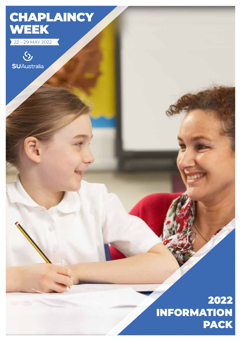# **CHAPLAINCY** WEEK

22 – 29 MAY 2022



## 2022 INFORMATION PACK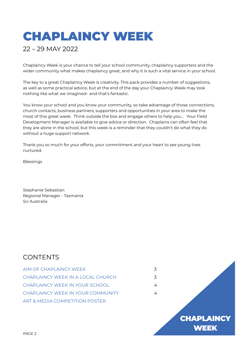# CHAPLAINCY WEEK

## 22 – 29 MAY 2022

Chaplaincy Week is your chance to tell your school community, chaplaincy supporters and the wider community what makes chaplaincy great, and why it is such a vital service in your school.

The key to a great Chaplaincy Week is creativity. This pack provides a number of suggestions, as well as some practical advice, but at the end of the day your Chaplaincy Week may look nothing like what we imagined– and that's fantastic.

You know your school and you know your community, so take advantage of those connections, church contacts, business partners, supporters and opportunities in your area to make the most of this great week. Think outside the box and engage others to help you… Your Field Development Manager is available to give advice or direction. Chaplains can often feel that they are alone in the school, but this week is a reminder that they couldn't do what they do without a huge support network.

Thank you so much for your efforts, your commitment and your heart to see young lives nurtured.

Blessings

Stephanie Sebastian Regional Manager - Tasmania SU Australia

### **CONTENTS**

| AIM OF CHAPLAINCY WEEK             | 3 |
|------------------------------------|---|
| CHAPI AINCY WEEK IN A LOCAL CHURCH | 3 |
| CHAPI AINCY WEEK IN YOUR SCHOOL    | 4 |
| CHAPI AINCY WEEK IN YOUR COMMUNITY | 4 |
| ART & MEDIA COMPETITION POSTER     |   |

**CHAPLAINCY** WEEK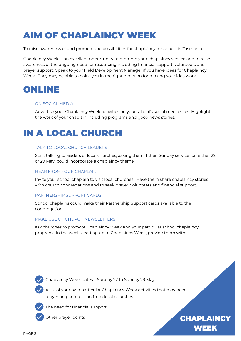## AIM OF CHAPLAINCY WEEK

To raise awareness of and promote the possibilities for chaplaincy in schools in Tasmania.

Chaplaincy Week is an excellent opportunity to promote your chaplaincy service and to raise awareness of the ongoing need for resourcing including financial support, volunteers and prayer support. Speak to your Field Development Manager if you have ideas for Chaplaincy Week. They may be able to point you in the right direction for making your idea work.

## ONLINE

#### ON SOCIAL MEDIA

Advertise your Chaplaincy Week activities on your school's social media sites. Highlight the work of your chaplain including programs and good news stories.

## IN A LOCAL CHURCH

#### TALK TO LOCAL CHURCH LEADERS

Start talking to leaders of local churches, asking them if their Sunday service (on either 22 or 29 May) could incorporate a chaplaincy theme.

#### HEAR FROM YOUR CHAPLAIN

Invite your school chaplain to visit local churches. Have them share chaplaincy stories with church congregations and to seek prayer, volunteers and financial support.

#### PARTNERSHIP SUPPORT CARDS

School chaplains could make their Partnership Support cards available to the congregation.

#### MAKE USE OF CHURCH NEWSLETTERS

ask churches to promote Chaplaincy Week and your particular school chaplaincy program. In the weeks leading up to Chaplaincy Week, provide them with:



Chaplaincy Week dates – Sunday 22 to Sunday 29 May

A list of your own particular Chaplaincy Week activities that may need prayer or participation from local churches



The need for financial support



Other prayer points **CHAPLAINCY** WEEK